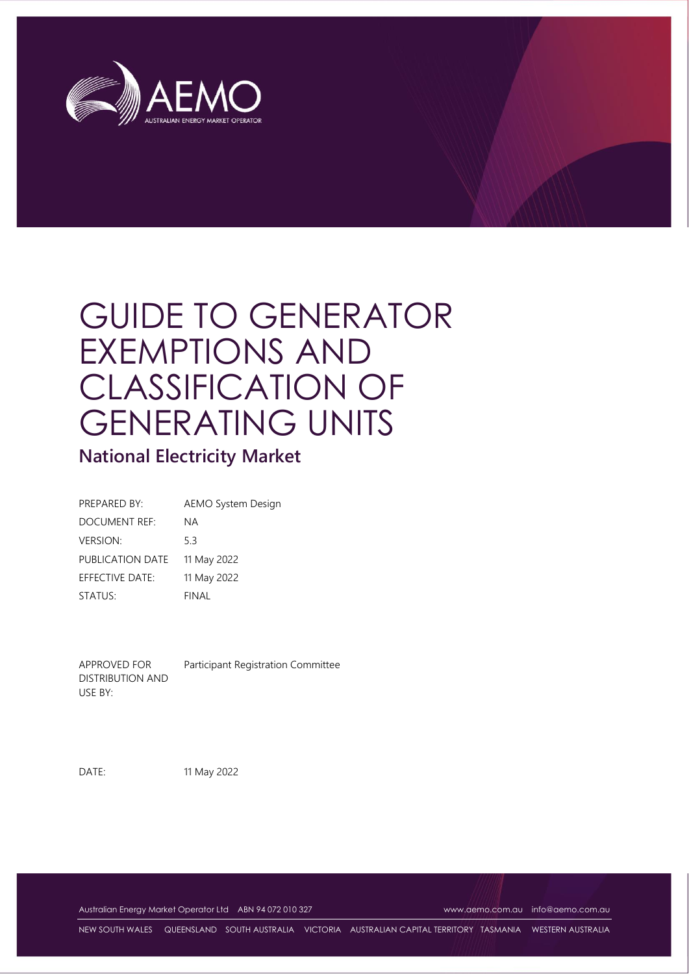

# GUIDE TO GENERATOR EXEMPTIONS AND CLASSIFICATION OF GENERATING UNITS

# **National Electricity Market**

| PREPARED BY:     | <b>AEMO System Design</b> |
|------------------|---------------------------|
| DOCUMENT REF:    | ΝA                        |
| <b>VERSION:</b>  | 53                        |
| PUBLICATION DATE | 11 May 2022               |
| EFFECTIVE DATE:  | 11 May 2022               |
| STATUS:          | FINAL                     |

APPROVED FOR DISTRIBUTION AND USE BY: Participant Registration Committee

DATE: 11 May 2022

Australian Energy Market Operator Ltd ABN 94 072 010 327 [www.aemo.com.au](http://www.aemo.com.au/) [info@aemo.com.au](mailto:info@aemo.com.au)

NEW SOUTH WALES QUEENSLAND SOUTH AUSTRALIA VICTORIA AUSTRALIAN CAPITAL TERRITORY TASMANIA WESTERN AUSTRALIA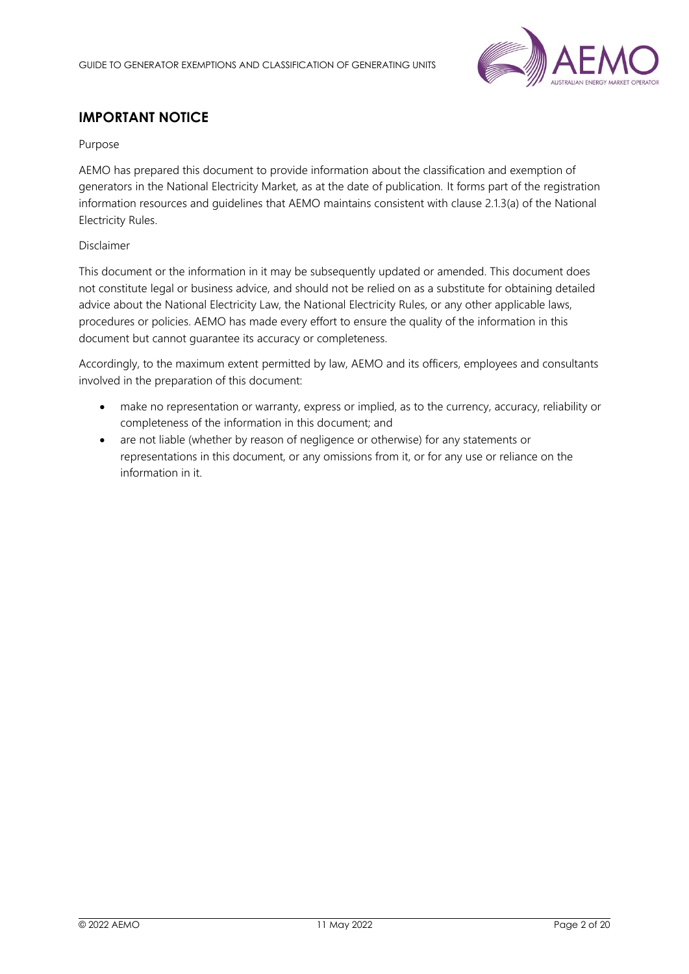

# **IMPORTANT NOTICE**

### Purpose

AEMO has prepared this document to provide information about the classification and exemption of generators in the National Electricity Market, as at the date of publication. It forms part of the registration information resources and guidelines that AEMO maintains consistent with clause 2.1.3(a) of the National Electricity Rules.

### Disclaimer

This document or the information in it may be subsequently updated or amended. This document does not constitute legal or business advice, and should not be relied on as a substitute for obtaining detailed advice about the National Electricity Law, the National Electricity Rules, or any other applicable laws, procedures or policies. AEMO has made every effort to ensure the quality of the information in this document but cannot guarantee its accuracy or completeness.

Accordingly, to the maximum extent permitted by law, AEMO and its officers, employees and consultants involved in the preparation of this document:

- make no representation or warranty, express or implied, as to the currency, accuracy, reliability or completeness of the information in this document; and
- are not liable (whether by reason of negligence or otherwise) for any statements or representations in this document, or any omissions from it, or for any use or reliance on the information in it.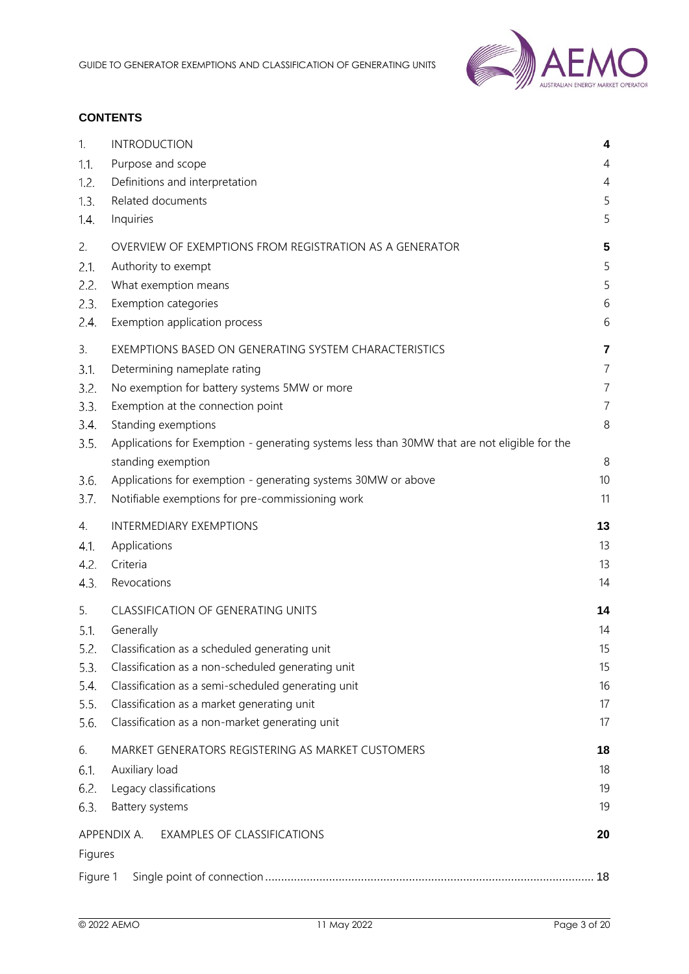

### **CONTENTS**

| 1.       | <b>INTRODUCTION</b>                                                                          | 4              |
|----------|----------------------------------------------------------------------------------------------|----------------|
| 1.1.     | Purpose and scope                                                                            | 4              |
| 1.2.     | Definitions and interpretation                                                               | 4              |
| 1.3.     | Related documents                                                                            | 5              |
| 1.4.     | Inquiries                                                                                    | 5              |
| 2.       | OVERVIEW OF EXEMPTIONS FROM REGISTRATION AS A GENERATOR                                      | 5              |
| 2.1.     | Authority to exempt                                                                          | 5              |
| 2.2.     | What exemption means                                                                         | 5              |
| 2.3.     | Exemption categories                                                                         | 6              |
| 2.4.     | Exemption application process                                                                | 6              |
| 3.       | EXEMPTIONS BASED ON GENERATING SYSTEM CHARACTERISTICS                                        | 7              |
| 3.1.     | Determining nameplate rating                                                                 | 7              |
| 3.2.     | No exemption for battery systems 5MW or more                                                 | $\overline{7}$ |
| 3.3.     | Exemption at the connection point                                                            | $\overline{7}$ |
| 3.4.     | Standing exemptions                                                                          | 8              |
| 3.5.     | Applications for Exemption - generating systems less than 30MW that are not eligible for the |                |
|          | standing exemption                                                                           | 8              |
| 3.6.     | Applications for exemption - generating systems 30MW or above                                | 10             |
| 3.7.     | Notifiable exemptions for pre-commissioning work                                             | 11             |
| 4.       | <b>INTERMEDIARY EXEMPTIONS</b>                                                               | 13             |
| 4.1.     | Applications                                                                                 | 13             |
| 4.2.     | Criteria                                                                                     | 13             |
| 4.3.     | Revocations                                                                                  | 14             |
| 5.       | <b>CLASSIFICATION OF GENERATING UNITS</b>                                                    | 14             |
| 5.1.     | Generally                                                                                    | 14             |
| 5.2.     | Classification as a scheduled generating unit                                                | 15             |
| 5.3.     | Classification as a non-scheduled generating unit                                            | 15             |
| 5.4.     | Classification as a semi-scheduled generating unit                                           | 16             |
| 5.5.     | Classification as a market generating unit                                                   | 17             |
| 5.6.     | Classification as a non-market generating unit                                               | 17             |
| 6.       | MARKET GENERATORS REGISTERING AS MARKET CUSTOMERS                                            | 18             |
| 6.1.     | Auxiliary load                                                                               | 18             |
| 6.2.     | Legacy classifications                                                                       | 19             |
| 6.3.     | Battery systems                                                                              | 19             |
|          | APPENDIX A.<br><b>EXAMPLES OF CLASSIFICATIONS</b>                                            | 20             |
| Figures  |                                                                                              |                |
| Figure 1 |                                                                                              |                |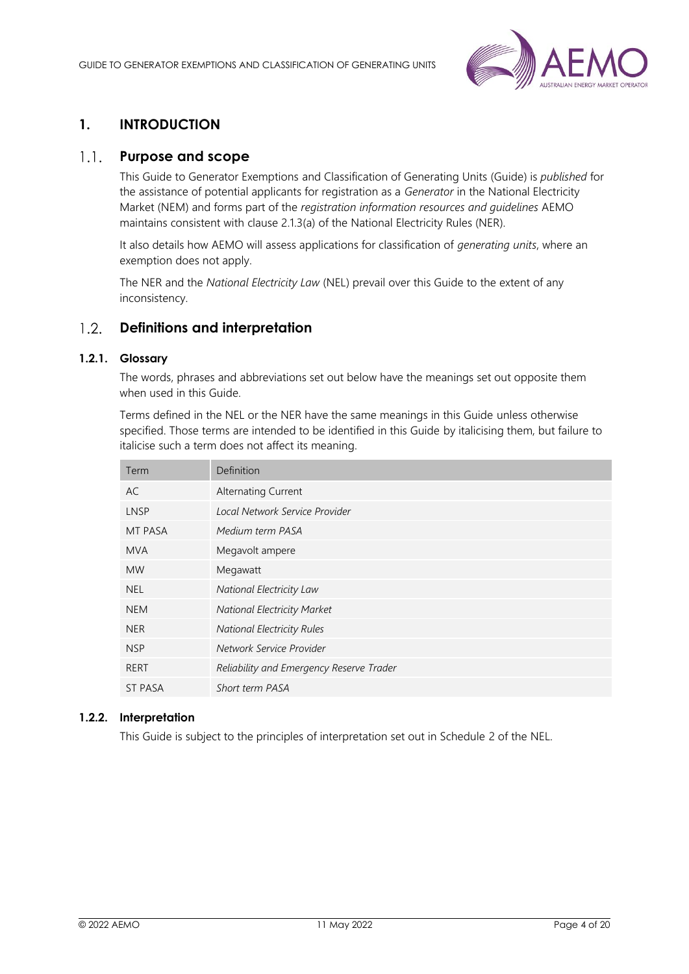

# <span id="page-3-0"></span>**1. INTRODUCTION**

#### <span id="page-3-1"></span> $1.1.$ **Purpose and scope**

This Guide to Generator Exemptions and Classification of Generating Units (Guide) is *published* for the assistance of potential applicants for registration as a *Generator* in the National Electricity Market (NEM) and forms part of the *registration information resources and guidelines* AEMO maintains consistent with clause 2.1.3(a) of the National Electricity Rules (NER).

It also details how AEMO will assess applications for classification of *generating units*, where an exemption does not apply.

The NER and the *National Electricity Law* (NEL) prevail over this Guide to the extent of any inconsistency.

#### <span id="page-3-2"></span> $1.2.$ **Definitions and interpretation**

### **1.2.1. Glossary**

The words, phrases and abbreviations set out below have the meanings set out opposite them when used in this Guide.

Terms defined in the NEL or the NER have the same meanings in this Guide unless otherwise specified. Those terms are intended to be identified in this Guide by italicising them, but failure to italicise such a term does not affect its meaning.

| Term           | Definition                               |
|----------------|------------------------------------------|
| AC             | <b>Alternating Current</b>               |
| <b>LNSP</b>    | Local Network Service Provider           |
| MT PASA        | Medium term PASA                         |
| <b>MVA</b>     | Megavolt ampere                          |
| <b>MW</b>      | Megawatt                                 |
| <b>NEL</b>     | National Electricity Law                 |
| <b>NEM</b>     | <b>National Electricity Market</b>       |
| <b>NER</b>     | <b>National Electricity Rules</b>        |
| <b>NSP</b>     | Network Service Provider                 |
| <b>RERT</b>    | Reliability and Emergency Reserve Trader |
| <b>ST PASA</b> | Short term PASA                          |

### **1.2.2. Interpretation**

This Guide is subject to the principles of interpretation set out in Schedule 2 of the NEL.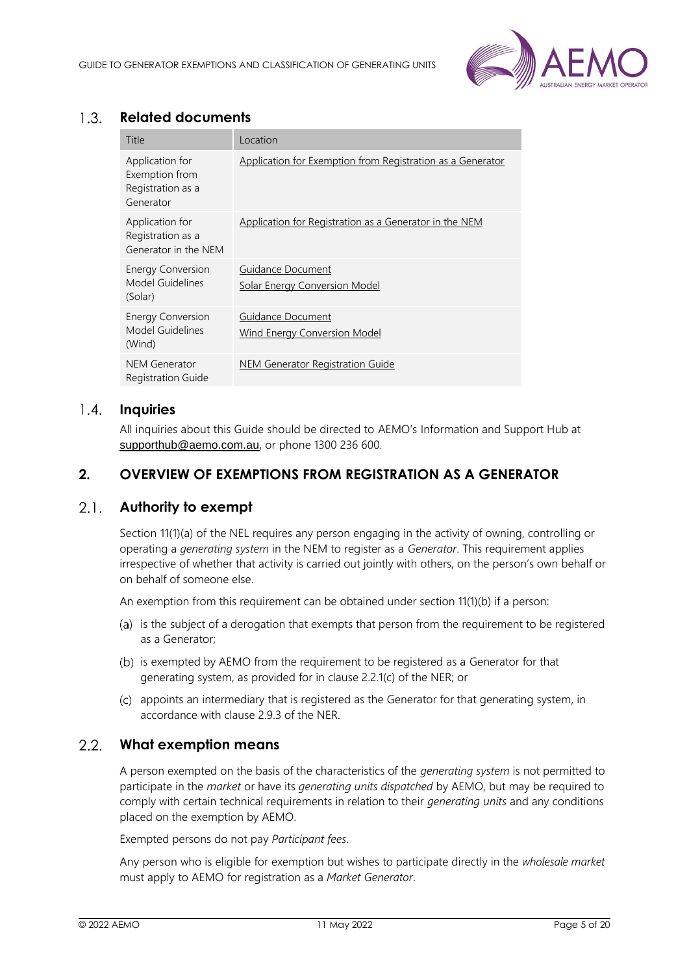

#### <span id="page-4-0"></span> $1.3.$ **Related documents**

| Title                                                               | Location                                                   |
|---------------------------------------------------------------------|------------------------------------------------------------|
| Application for<br>Exemption from<br>Registration as a<br>Generator | Application for Exemption from Registration as a Generator |
| Application for<br>Registration as a<br>Generator in the NEM        | Application for Registration as a Generator in the NEM     |
| <b>Energy Conversion</b><br>Model Guidelines<br>(Solar)             | Guidance Document<br><b>Solar Energy Conversion Model</b>  |
| <b>Energy Conversion</b><br>Model Guidelines<br>(Wind)              | Guidance Document<br><b>Wind Energy Conversion Model</b>   |
| NEM Generator<br><b>Registration Guide</b>                          | NEM Generator Registration Guide                           |

#### <span id="page-4-1"></span> $1.4.$ **Inquiries**

All inquiries about this Guide should be directed to AEMO's [Information and Support Hu](mailto:Information%20and%20Support%20H)b at [supporthub@aemo.com.au](mailto:supporthub@aemo.com.au), or phone 1300 236 600.

# <span id="page-4-2"></span>**2. OVERVIEW OF EXEMPTIONS FROM REGISTRATION AS A GENERATOR**

#### <span id="page-4-3"></span> $2.1.$ **Authority to exempt**

Section 11(1)(a) of the NEL requires any person engaging in the activity of owning, controlling or operating a *generating system* in the NEM to register as a *Generator*. This requirement applies irrespective of whether that activity is carried out jointly with others, on the person's own behalf or on behalf of someone else.

An exemption from this requirement can be obtained under section 11(1)(b) if a person:

- (a) is the subject of a derogation that exempts that person from the requirement to be registered as a Generator;
- (b) is exempted by AEMO from the requirement to be registered as a Generator for that generating system, as provided for in clause 2.2.1(c) of the NER; or
- (c) appoints an intermediary that is registered as the Generator for that generating system, in accordance with clause 2.9.3 of the NER.

#### <span id="page-4-4"></span> $2.2.$ **What exemption means**

A person exempted on the basis of the characteristics of the *generating system* is not permitted to participate in the *market* or have its *generating units dispatched* by AEMO, but may be required to comply with certain technical requirements in relation to their *generating units* and any conditions placed on the exemption by AEMO.

Exempted persons do not pay *Participant fees*.

Any person who is eligible for exemption but wishes to participate directly in the *wholesale market* must apply to AEMO for registration as a *Market Generator*.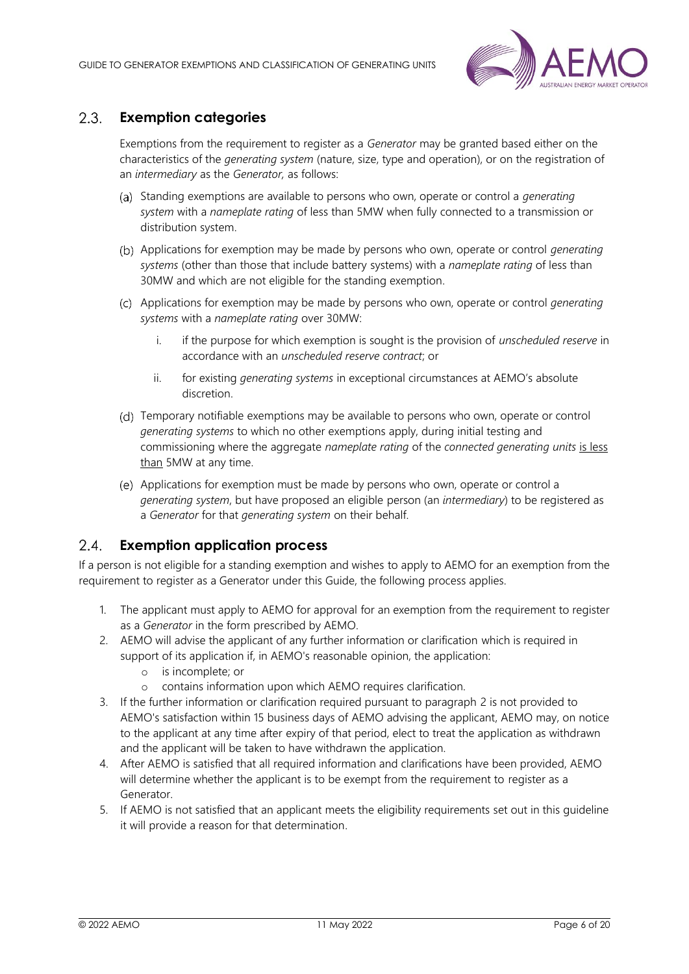

#### <span id="page-5-0"></span> $2.3.$ **Exemption categories**

Exemptions from the requirement to register as a *Generator* may be granted based either on the characteristics of the *generating system* (nature, size, type and operation), or on the registration of an *intermediary* as the *Generator,* as follows:

- Standing exemptions are available to persons who own, operate or control a *generating system* with a *nameplate rating* of less than 5MW when fully connected to a transmission or distribution system.
- Applications for exemption may be made by persons who own, operate or control *generating systems* (other than those that include battery systems) with a *nameplate rating* of less than 30MW and which are not eligible for the standing exemption.
- Applications for exemption may be made by persons who own, operate or control *generating systems* with a *nameplate rating* over 30MW:
	- i. if the purpose for which exemption is sought is the provision of *unscheduled reserve* in accordance with an *unscheduled reserve contract*; or
	- ii. for existing *generating systems* in exceptional circumstances at AEMO's absolute discretion.
- (d) Temporary notifiable exemptions may be available to persons who own, operate or control *generating systems* to which no other exemptions apply, during initial testing and commissioning where the aggregate *nameplate rating* of the *connected generating units* is less than 5MW at any time.
- Applications for exemption must be made by persons who own, operate or control a *generating system*, but have proposed an eligible person (an *intermediary*) to be registered as a *Generator* for that *generating system* on their behalf.

#### <span id="page-5-1"></span> $2.4.$ **Exemption application process**

If a person is not eligible for a standing exemption and wishes to apply to AEMO for an exemption from the requirement to register as a Generator under this Guide, the following process applies.

- 1. The applicant must apply to AEMO for approval for an exemption from the requirement to register as a *Generator* in the form prescribed by AEMO.
- 2. AEMO will advise the applicant of any further information or clarification which is required in support of its application if, in AEMO's reasonable opinion, the application:
	- o is incomplete; or
	- o contains information upon which AEMO requires clarification.
- 3. If the further information or clarification required pursuant to paragraph 2 is not provided to AEMO's satisfaction within 15 business days of AEMO advising the applicant, AEMO may, on notice to the applicant at any time after expiry of that period, elect to treat the application as withdrawn and the applicant will be taken to have withdrawn the application.
- 4. After AEMO is satisfied that all required information and clarifications have been provided, AEMO will determine whether the applicant is to be exempt from the requirement to register as a Generator.
- 5. If AEMO is not satisfied that an applicant meets the eligibility requirements set out in this guideline it will provide a reason for that determination.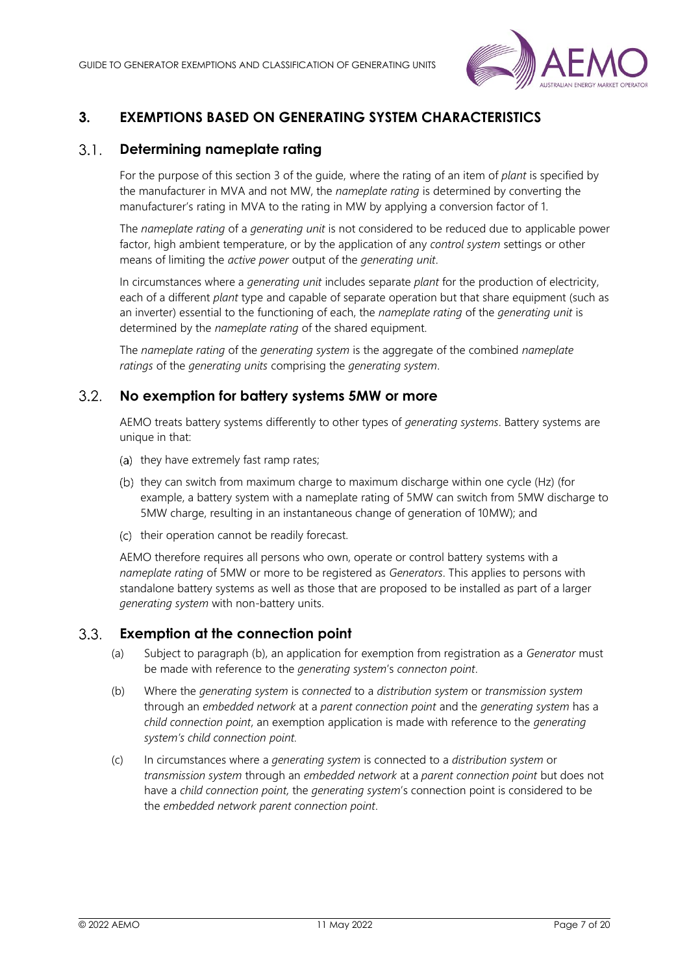

# <span id="page-6-0"></span>**3. EXEMPTIONS BASED ON GENERATING SYSTEM CHARACTERISTICS**

#### <span id="page-6-1"></span> $3.1<sub>1</sub>$ **Determining nameplate rating**

For the purpose of this section 3 of the guide, where the rating of an item of *plant* is specified by the manufacturer in MVA and not MW, the *nameplate rating* is determined by converting the manufacturer's rating in MVA to the rating in MW by applying a conversion factor of 1.

The *nameplate rating* of a *generating unit* is not considered to be reduced due to applicable power factor, high ambient temperature, or by the application of any *control system* settings or other means of limiting the *active power* output of the *generating unit*.

In circumstances where a *generating unit* includes separate *plant* for the production of electricity, each of a different *plant* type and capable of separate operation but that share equipment (such as an inverter) essential to the functioning of each, the *nameplate rating* of the *generating unit* is determined by the *nameplate rating* of the shared equipment.

The *nameplate rating* of the *generating system* is the aggregate of the combined *nameplate ratings* of the *generating units* comprising the *generating system*.

#### <span id="page-6-2"></span> $3.2.$ **No exemption for battery systems 5MW or more**

AEMO treats battery systems differently to other types of *generating systems*. Battery systems are unique in that:

- (a) they have extremely fast ramp rates;
- (b) they can switch from maximum charge to maximum discharge within one cycle (Hz) (for example, a battery system with a nameplate rating of 5MW can switch from 5MW discharge to 5MW charge, resulting in an instantaneous change of generation of 10MW); and
- (c) their operation cannot be readily forecast.

AEMO therefore requires all persons who own, operate or control battery systems with a *nameplate rating* of 5MW or more to be registered as *Generators*. This applies to persons with standalone battery systems as well as those that are proposed to be installed as part of a larger *generating system* with non-battery units.

#### <span id="page-6-3"></span> $3.3.$ **Exemption at the connection point**

- (a) Subject to paragraph (b), an application for exemption from registration as a *Generator* must be made with reference to the *generating system*'s *connecton point*.
- (b) Where the *generating system* is *connected* to a *distribution system* or *transmission system* through an *embedded network* at a *parent connection point* and the *generating system* has a *child connection point*, an exemption application is made with reference to the *generating system's child connection point.*
- (c) In circumstances where a *generating system* is connected to a *distribution system* or *transmission system* through an *embedded network* at a *parent connection point* but does not have a *child connection point,* the *generating system*'s connection point is considered to be the *embedded network parent connection point*.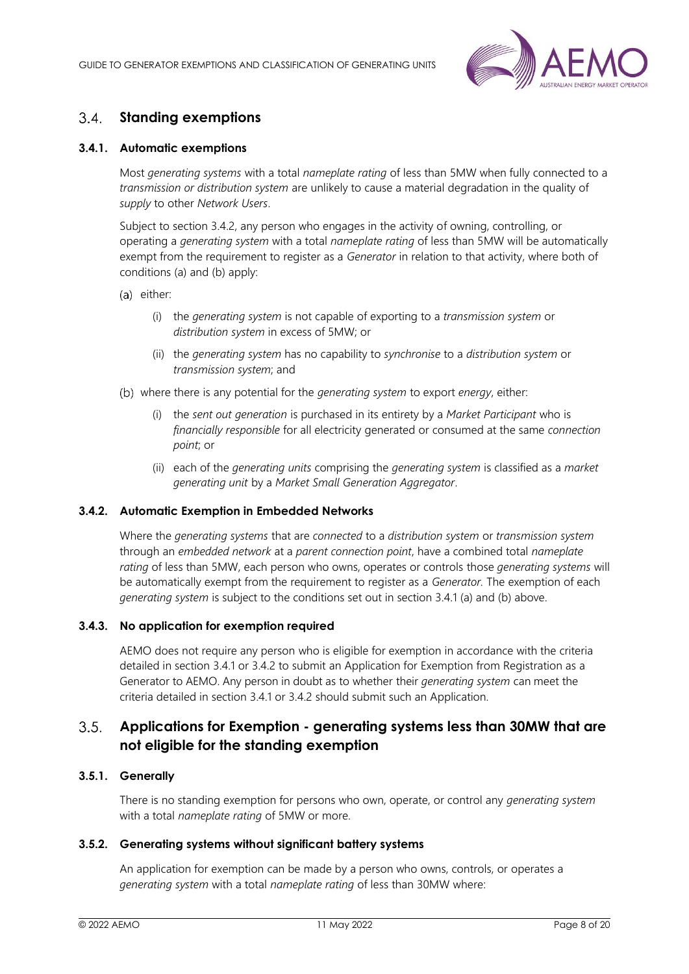

#### <span id="page-7-0"></span> $34$ **Standing exemptions**

### <span id="page-7-2"></span>**3.4.1. Automatic exemptions**

Most *generating systems* with a total *nameplate rating* of less than 5MW when fully connected to a *transmission or distribution system* are unlikely to cause a material degradation in the quality of *supply* to other *Network Users*.

Subject to section 3.4.2, any person who engages in the activity of owning, controlling, or operating a *generating system* with a total *nameplate rating* of less than 5MW will be automatically exempt from the requirement to register as a *Generator* in relation to that activity, where both of conditions (a) and (b) apply:

- (a) either:
	- (i) the *generating system* is not capable of exporting to a *transmission system* or *distribution system* in excess of 5MW; or
	- (ii) the *generating system* has no capability to *synchronise* to a *distribution system* or *transmission system*; and
- where there is any potential for the *generating system* to export *energy*, either:
	- (i) the *sent out generation* is purchased in its entirety by a *Market Participant* who is *financially responsible* for all electricity generated or consumed at the same *connection point*; or
	- (ii) each of the *generating units* comprising the *generating system* is classified as a *market generating unit* by a *Market Small Generation Aggregator*.

### **3.4.2. Automatic Exemption in Embedded Networks**

Where the *generating systems* that are *connected* to a *distribution system* or *transmission system* through an *embedded network* at a *parent connection point*, have a combined total *nameplate rating* of less than 5MW, each person who owns, operates or controls those *generating systems* will be automatically exempt from the requirement to register as a *Generator.* The exemption of each *generating system* is subject to the conditions set out in section 3.4.1 (a) and (b) above.

### **3.4.3. No application for exemption required**

AEMO does not require any person who is eligible for exemption in accordance with the criteria detailed in section [3.4.1](#page-7-2) or 3.4.2 to submit an Application for Exemption from Registration as a Generator to AEMO. Any person in doubt as to whether their *generating system* can meet the criteria detailed in section [3.4.1](#page-7-2) or 3.4.2 should submit such an Application.

#### <span id="page-7-1"></span> $3.5.$ **Applications for Exemption - generating systems less than 30MW that are not eligible for the standing exemption**

### **3.5.1. Generally**

There is no standing exemption for persons who own, operate, or control any *generating system* with a total *nameplate rating* of 5MW or more.

### <span id="page-7-3"></span>**3.5.2. Generating systems without significant battery systems**

An application for exemption can be made by a person who owns, controls, or operates a *generating system* with a total *nameplate rating* of less than 30MW where: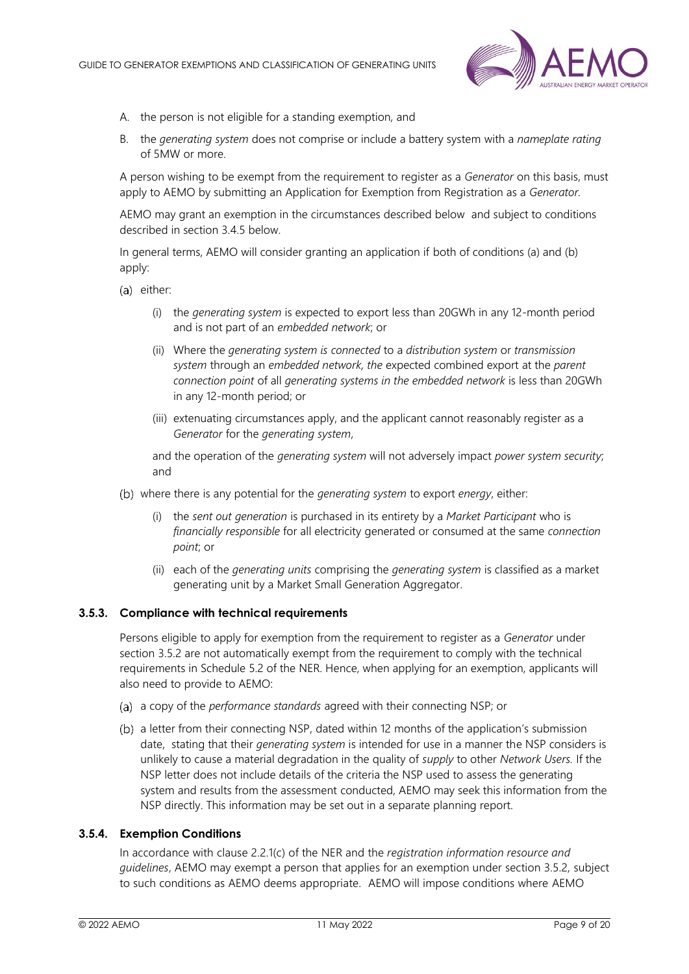

- A. the person is not eligible for a standing exemption, and
- B. the *generating system* does not comprise or include a battery system with a *nameplate rating*  of 5MW or more.

A person wishing to be exempt from the requirement to register as a *Generator* on this basis, must apply to AEMO by submitting an Application for Exemption from Registration as a *Generator.*

AEMO may grant an exemption in the circumstances described below and subject to conditions described in section 3.4.5 below.

In general terms, AEMO will consider granting an application if both of conditions (a) and (b) apply:

- (a) either:
	- (i) the *generating system* is expected to export less than 20GWh in any 12-month period and is not part of an *embedded network*; or
	- (ii) Where the *generating system is connected* to a *distribution system* or *transmission system* through an *embedded network, the* expected combined export at the *parent connection point* of all *generating systems in the embedded network* is less than 20GWh in any 12-month period; or
	- (iii) extenuating circumstances apply, and the applicant cannot reasonably register as a *Generator* for the *generating system*,

and the operation of the *generating system* will not adversely impact *power system security*; and

- where there is any potential for the *generating system* to export *energy*, either:
	- (i) the *sent out generation* is purchased in its entirety by a *Market Participant* who is *financially responsible* for all electricity generated or consumed at the same *connection point*; or
	- (ii) each of the *generating units* comprising the *generating system* is classified as a market generating unit by a Market Small Generation Aggregator.

### **3.5.3. Compliance with technical requirements**

Persons eligible to apply for exemption from the requirement to register as a *Generator* under section [3.5.2](#page-7-3) are not automatically exempt from the requirement to comply with the technical requirements in Schedule 5.2 of the NER. Hence, when applying for an exemption, applicants will also need to provide to AEMO:

- a copy of the *performance standards* agreed with their connecting NSP; or
- a letter from their connecting NSP, dated within 12 months of the application's submission date, stating that their *generating system* is intended for use in a manner the NSP considers is unlikely to cause a material degradation in the quality of *supply* to other *Network Users.* If the NSP letter does not include details of the criteria the NSP used to assess the generating system and results from the assessment conducted, AEMO may seek this information from the NSP directly. This information may be set out in a separate planning report.

### **3.5.4. Exemption Conditions**

In accordance with clause 2.2.1(c) of the NER and the *registration information resource and guidelines*, AEMO may exempt a person that applies for an exemption under section 3.5.2, subject to such conditions as AEMO deems appropriate. AEMO will impose conditions where AEMO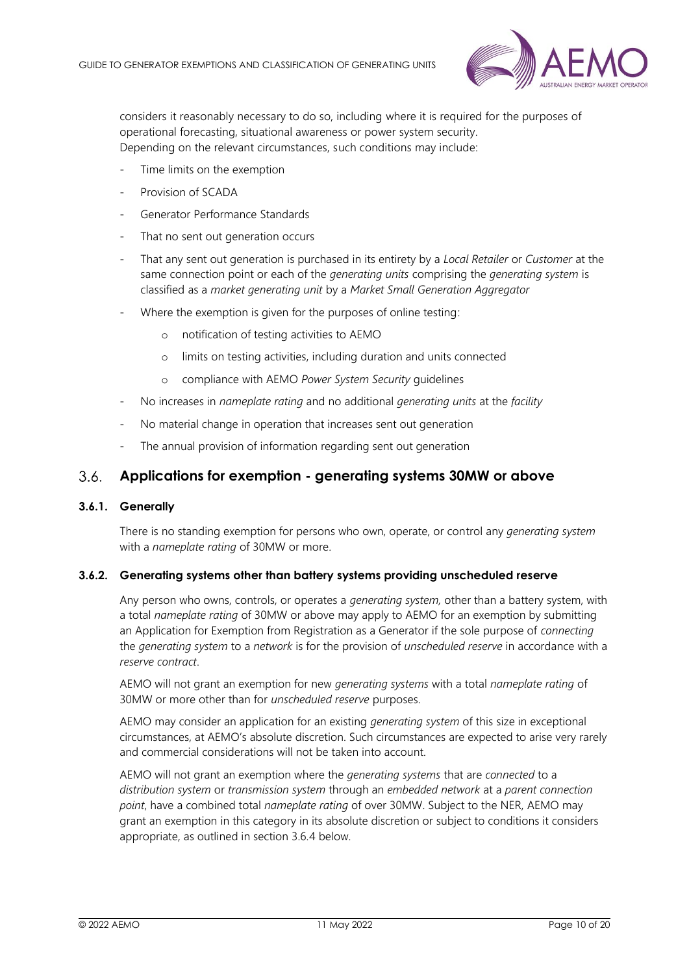

considers it reasonably necessary to do so, including where it is required for the purposes of operational forecasting, situational awareness or power system security. Depending on the relevant circumstances, such conditions may include:

- Time limits on the exemption
- Provision of SCADA
- Generator Performance Standards
- That no sent out generation occurs
- That any sent out generation is purchased in its entirety by a *Local Retailer* or *Customer* at the same connection point or each of the *generating units* comprising the *generating system* is classified as a *market generating unit* by a *Market Small Generation Aggregator*
- Where the exemption is given for the purposes of online testing:
	- o notification of testing activities to AEMO
	- o limits on testing activities, including duration and units connected
	- o compliance with AEMO *Power System Security* guidelines
- No increases in *nameplate rating* and no additional *generating units* at the *facility*
- No material change in operation that increases sent out generation
- The annual provision of information regarding sent out generation

#### <span id="page-9-0"></span> $3.6.$ **Applications for exemption - generating systems 30MW or above**

### **3.6.1. Generally**

There is no standing exemption for persons who own, operate, or control any *generating system* with a *nameplate rating* of 30MW or more.

### <span id="page-9-1"></span>**3.6.2. Generating systems other than battery systems providing unscheduled reserve**

Any person who owns, controls, or operates a *generating system,* other than a battery system, with a total *nameplate rating* of 30MW or above may apply to AEMO for an exemption by submitting an Application for Exemption from Registration as a Generator if the sole purpose of *connecting* the *generating system* to a *network* is for the provision of *unscheduled reserve* in accordance with a *reserve contract*.

AEMO will not grant an exemption for new *generating systems* with a total *nameplate rating* of 30MW or more other than for *unscheduled reserve* purposes.

AEMO may consider an application for an existing *generating system* of this size in exceptional circumstances, at AEMO's absolute discretion. Such circumstances are expected to arise very rarely and commercial considerations will not be taken into account.

AEMO will not grant an exemption where the *generating systems* that are *connected* to a *distribution system* or *transmission system* through an *embedded network* at a *parent connection point*, have a combined total *nameplate rating* of over 30MW. Subject to the NER, AEMO may grant an exemption in this category in its absolute discretion or subject to conditions it considers appropriate, as outlined in section 3.6.4 below.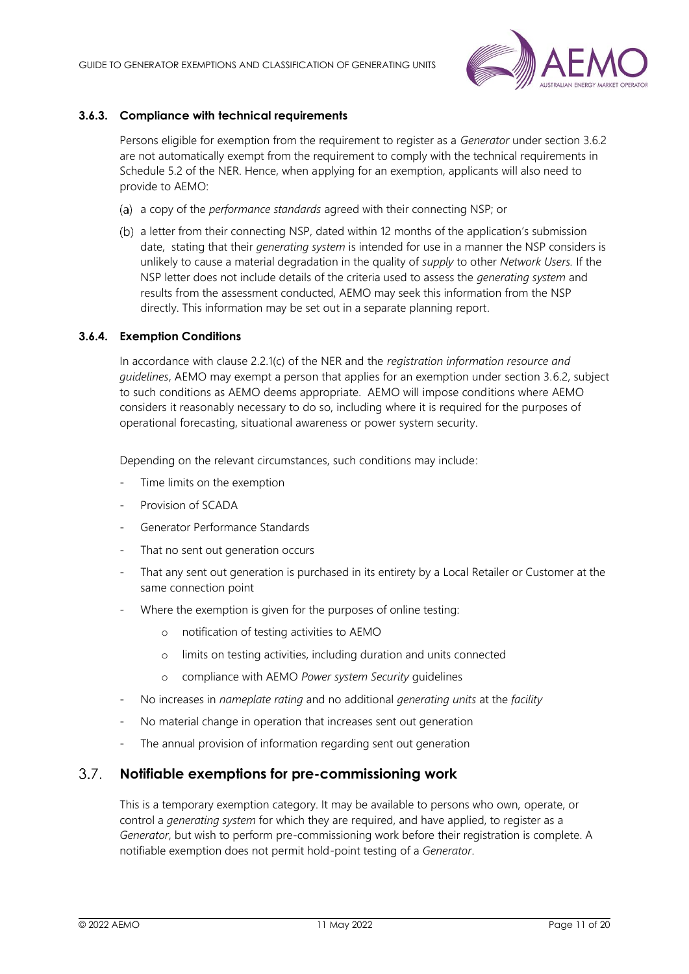

### **3.6.3. Compliance with technical requirements**

Persons eligible for exemption from the requirement to register as a *Generator* under section [3.6.2](#page-9-1) are not automatically exempt from the requirement to comply with the technical requirements in Schedule 5.2 of the NER. Hence, when applying for an exemption, applicants will also need to provide to AEMO:

- a copy of the *performance standards* agreed with their connecting NSP; or
- a letter from their connecting NSP, dated within 12 months of the application's submission date, stating that their *generating system* is intended for use in a manner the NSP considers is unlikely to cause a material degradation in the quality of *supply* to other *Network Users.* If the NSP letter does not include details of the criteria used to assess the *generating system* and results from the assessment conducted, AEMO may seek this information from the NSP directly. This information may be set out in a separate planning report.

### **3.6.4. Exemption Conditions**

In accordance with clause 2.2.1(c) of the NER and the *registration information resource and guidelines*, AEMO may exempt a person that applies for an exemption under section 3.6.2, subject to such conditions as AEMO deems appropriate. AEMO will impose conditions where AEMO considers it reasonably necessary to do so, including where it is required for the purposes of operational forecasting, situational awareness or power system security.

Depending on the relevant circumstances, such conditions may include:

- Time limits on the exemption
- Provision of SCADA
- Generator Performance Standards
- That no sent out generation occurs
- That any sent out generation is purchased in its entirety by a Local Retailer or Customer at the same connection point
- Where the exemption is given for the purposes of online testing:
	- o notification of testing activities to AEMO
	- o limits on testing activities, including duration and units connected
	- o compliance with AEMO *Power system Security* guidelines
- No increases in *nameplate rating* and no additional *generating units* at the *facility*
- No material change in operation that increases sent out generation
- The annual provision of information regarding sent out generation

#### <span id="page-10-0"></span> $3.7.$ **Notifiable exemptions for pre-commissioning work**

This is a temporary exemption category. It may be available to persons who own, operate, or control a *generating system* for which they are required, and have applied, to register as a *Generator*, but wish to perform pre-commissioning work before their registration is complete. A notifiable exemption does not permit hold-point testing of a *Generator*.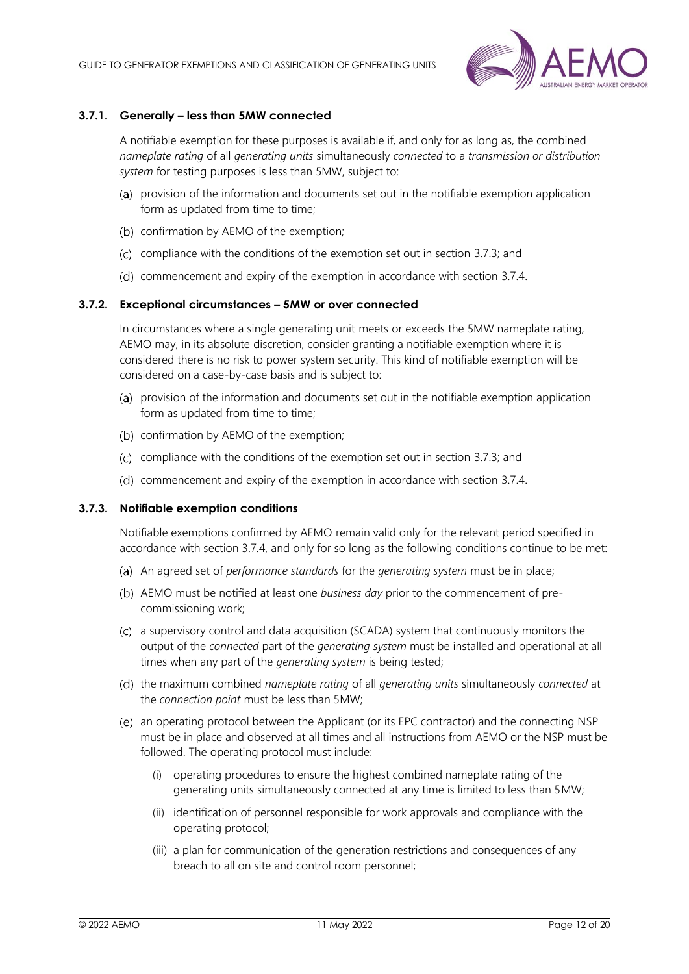

### **3.7.1. Generally – less than 5MW connected**

A notifiable exemption for these purposes is available if, and only for as long as, the combined *nameplate rating* of all *generating units* simultaneously *connected* to a *transmission or distribution system* for testing purposes is less than 5MW, subject to:

- (a) provision of the information and documents set out in the notifiable exemption application form as updated from time to time;
- (b) confirmation by AEMO of the exemption;
- $(c)$  compliance with the conditions of the exemption set out in section [3.7.3;](#page-11-0) and
- (d) commencement and expiry of the exemption in accordance with section 3.7.4.

#### **3.7.2. Exceptional circumstances – 5MW or over connected**

In circumstances where a single generating unit meets or exceeds the 5MW nameplate rating, AEMO may, in its absolute discretion, consider granting a notifiable exemption where it is considered there is no risk to power system security. This kind of notifiable exemption will be considered on a case-by-case basis and is subject to:

- (a) provision of the information and documents set out in the notifiable exemption application form as updated from time to time;
- (b) confirmation by AEMO of the exemption;
- (c) compliance with the conditions of the exemption set out in section [3.7.3;](#page-11-0) and
- (d) commencement and expiry of the exemption in accordance with section 3.7.4.

#### <span id="page-11-0"></span>**3.7.3. Notifiable exemption conditions**

Notifiable exemptions confirmed by AEMO remain valid only for the relevant period specified in accordance with section [3.7.4,](#page-12-3) and only for so long as the following conditions continue to be met:

- An agreed set of *performance standards* for the *generating system* must be in place;
- AEMO must be notified at least one *business day* prior to the commencement of precommissioning work;
- a supervisory control and data acquisition (SCADA) system that continuously monitors the output of the *connected* part of the *generating system* must be installed and operational at all times when any part of the *generating system* is being tested;
- the maximum combined *nameplate rating* of all *generating units* simultaneously *connected* at the *connection point* must be less than 5MW;
- an operating protocol between the Applicant (or its EPC contractor) and the connecting NSP must be in place and observed at all times and all instructions from AEMO or the NSP must be followed. The operating protocol must include:
	- (i) operating procedures to ensure the highest combined nameplate rating of the generating units simultaneously connected at any time is limited to less than 5MW;
	- (ii) identification of personnel responsible for work approvals and compliance with the operating protocol;
	- (iii) a plan for communication of the generation restrictions and consequences of any breach to all on site and control room personnel;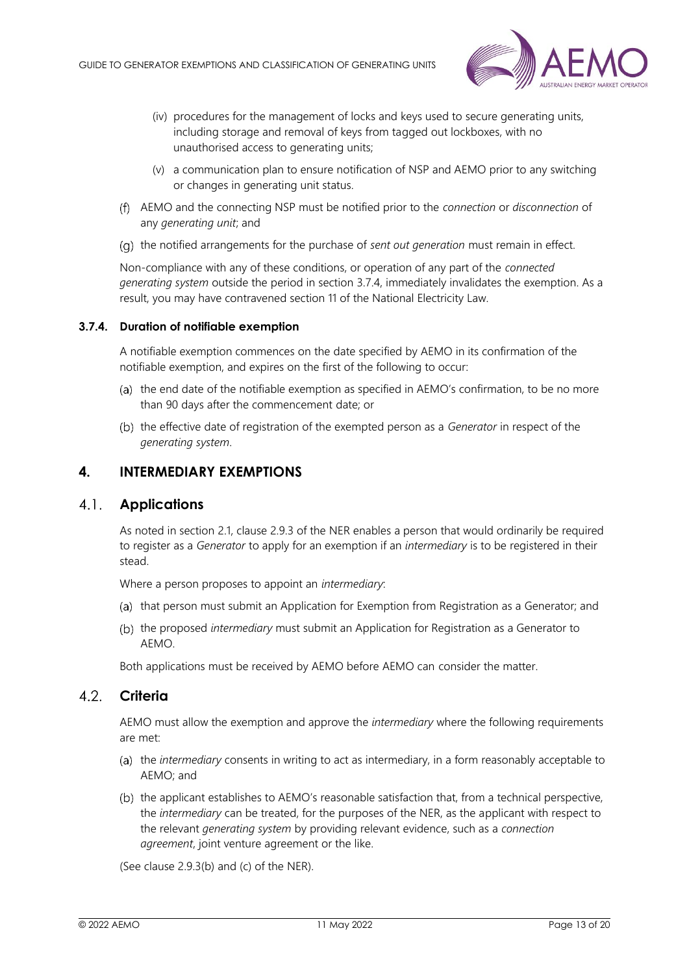

- (iv) procedures for the management of locks and keys used to secure generating units, including storage and removal of keys from tagged out lockboxes, with no unauthorised access to generating units;
- (v) a communication plan to ensure notification of NSP and AEMO prior to any switching or changes in generating unit status.
- AEMO and the connecting NSP must be notified prior to the *connection* or *disconnection* of any *generating unit*; and
- (q) the notified arrangements for the purchase of *sent out generation* must remain in effect.

Non-compliance with any of these conditions, or operation of any part of the *connected generating system* outside the period in section [3.7.4,](#page-12-3) immediately invalidates the exemption. As a result, you may have contravened section 11 of the National Electricity Law.

### <span id="page-12-3"></span>**3.7.4. Duration of notifiable exemption**

A notifiable exemption commences on the date specified by AEMO in its confirmation of the notifiable exemption, and expires on the first of the following to occur:

- (a) the end date of the notifiable exemption as specified in  $AEMO's$  confirmation, to be no more than 90 days after the commencement date; or
- (b) the effective date of registration of the exempted person as a *Generator* in respect of the *generating system*.

### <span id="page-12-0"></span>**4. INTERMEDIARY EXEMPTIONS**

### <span id="page-12-1"></span>**Applications**

As noted in section [2.1,](#page-4-3) clause 2.9.3 of the NER enables a person that would ordinarily be required to register as a *Generator* to apply for an exemption if an *intermediary* is to be registered in their stead.

Where a person proposes to appoint an *intermediary*:

- (a) that person must submit an Application for Exemption from Registration as a Generator; and
- (b) the proposed *intermediary* must submit an Application for Registration as a Generator to AEMO.

Both applications must be received by AEMO before AEMO can consider the matter.

#### <span id="page-12-2"></span>4.2 **Criteria**

AEMO must allow the exemption and approve the *intermediary* where the following requirements are met:

- (a) the *intermediary* consents in writing to act as intermediary, in a form reasonably acceptable to AEMO; and
- (b) the applicant establishes to AEMO's reasonable satisfaction that, from a technical perspective, the *intermediary* can be treated, for the purposes of the NER, as the applicant with respect to the relevant *generating system* by providing relevant evidence, such as a *connection agreement*, joint venture agreement or the like.

(See clause 2.9.3(b) and (c) of the NER).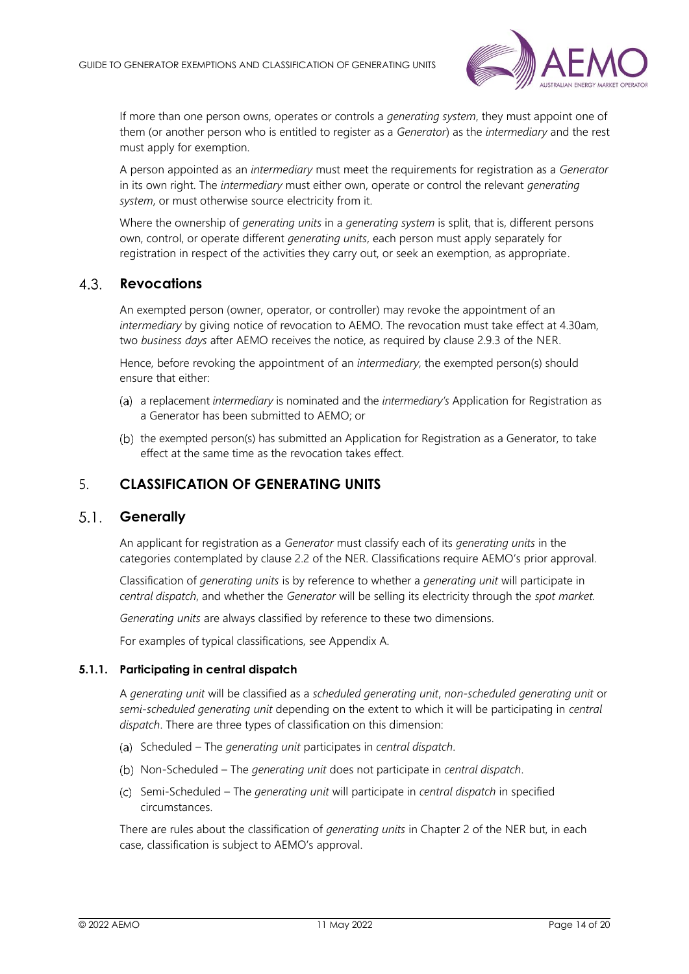

If more than one person owns, operates or controls a *generating system*, they must appoint one of them (or another person who is entitled to register as a *Generator*) as the *intermediary* and the rest must apply for exemption.

A person appointed as an *intermediary* must meet the requirements for registration as a *Generator*  in its own right. The *intermediary* must either own, operate or control the relevant *generating system*, or must otherwise source electricity from it.

Where the ownership of *generating units* in a *generating system* is split, that is, different persons own, control, or operate different *generating units*, each person must apply separately for registration in respect of the activities they carry out, or seek an exemption, as appropriate.

#### <span id="page-13-0"></span> $4.3$ **Revocations**

An exempted person (owner, operator, or controller) may revoke the appointment of an *intermediary* by giving notice of revocation to AEMO. The revocation must take effect at 4.30am, two *business days* after AEMO receives the notice, as required by clause 2.9.3 of the NER.

Hence, before revoking the appointment of an *intermediary*, the exempted person(s) should ensure that either:

- (a) a replacement *intermediary* is nominated and the *intermediary's* Application for Registration as a Generator has been submitted to AEMO; or
- (b) the exempted person(s) has submitted an Application for Registration as a Generator, to take effect at the same time as the revocation takes effect.

## <span id="page-13-1"></span>5. **CLASSIFICATION OF GENERATING UNITS**

#### <span id="page-13-2"></span> $5.1.$ **Generally**

An applicant for registration as a *Generator* must classify each of its *generating units* in the categories contemplated by clause 2.2 of the NER. Classifications require AEMO's prior approval.

Classification of *generating units* is by reference to whether a *generating unit* will participate in *central dispatch*, and whether the *Generator* will be selling its electricity through the *spot market.*

*Generating units* are always classified by reference to these two dimensions.

For examples of typical classifications, see Appendix A.

#### **5.1.1. Participating in central dispatch**

A *generating unit* will be classified as a *scheduled generating unit*, *non-scheduled generating unit* or *semi-scheduled generating unit* depending on the extent to which it will be participating in *central dispatch*. There are three types of classification on this dimension:

- Scheduled The *generating unit* participates in *central dispatch*.
- Non-Scheduled The *generating unit* does not participate in *central dispatch*.
- Semi-Scheduled The *generating unit* will participate in *central dispatch* in specified circumstances.

There are rules about the classification of *generating units* in Chapter 2 of the NER but, in each case, classification is subject to AEMO's approval.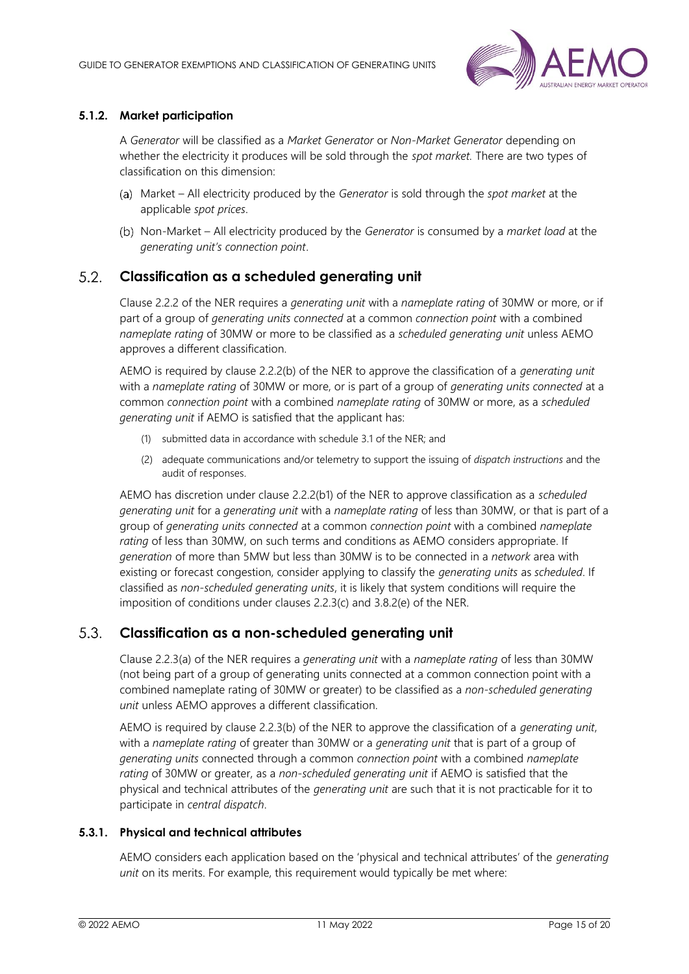

### **5.1.2. Market participation**

A *Generator* will be classified as a *Market Generator* or *Non-Market Generator* depending on whether the electricity it produces will be sold through the *spot market.* There are two types of classification on this dimension:

- Market All electricity produced by the *Generator* is sold through the *spot market* at the applicable *spot prices*.
- Non-Market All electricity produced by the *Generator* is consumed by a *market load* at the *generating unit's connection point*.

#### <span id="page-14-0"></span> $5.2.$ **Classification as a scheduled generating unit**

Clause 2.2.2 of the NER requires a *generating unit* with a *nameplate rating* of 30MW or more, or if part of a group of *generating units connected* at a common *connection point* with a combined *nameplate rating* of 30MW or more to be classified as a *scheduled generating unit* unless AEMO approves a different classification.

AEMO is required by clause 2.2.2(b) of the NER to approve the classification of a *generating unit* with a *nameplate rating* of 30MW or more, or is part of a group of *generating units connected* at a common *connection point* with a combined *nameplate rating* of 30MW or more, as a *scheduled generating unit* if AEMO is satisfied that the applicant has:

- (1) submitted data in accordance with schedule 3.1 of the NER; and
- (2) adequate communications and/or telemetry to support the issuing of *dispatch instructions* and the audit of responses.

AEMO has discretion under clause 2.2.2(b1) of the NER to approve classification as a *scheduled generating unit* for a *generating unit* with a *nameplate rating* of less than 30MW, or that is part of a group of *generating units connected* at a common *connection point* with a combined *nameplate rating* of less than 30MW, on such terms and conditions as AEMO considers appropriate. If *generation* of more than 5MW but less than 30MW is to be connected in a *network* area with existing or forecast congestion, consider applying to classify the *generating units* as *scheduled*. If classified as *non-scheduled generating units*, it is likely that system conditions will require the imposition of conditions under clauses 2.2.3(c) and 3.8.2(e) of the NER.

#### <span id="page-14-1"></span> $5.3.$ **Classification as a non-scheduled generating unit**

Clause 2.2.3(a) of the NER requires a *generating unit* with a *nameplate rating* of less than 30MW (not being part of a group of generating units connected at a common connection point with a combined nameplate rating of 30MW or greater) to be classified as a *non-scheduled generating unit* unless AEMO approves a different classification.

AEMO is required by clause 2.2.3(b) of the NER to approve the classification of a *generating unit*, with a *nameplate rating* of greater than 30MW or a *generating unit* that is part of a group of *generating units* connected through a common *connection point* with a combined *nameplate rating* of 30MW or greater, as a *non*-*scheduled generating unit* if AEMO is satisfied that the physical and technical attributes of the *generating unit* are such that it is not practicable for it to participate in *central dispatch*.

### **5.3.1. Physical and technical attributes**

AEMO considers each application based on the 'physical and technical attributes' of the *generating unit* on its merits. For example, this requirement would typically be met where: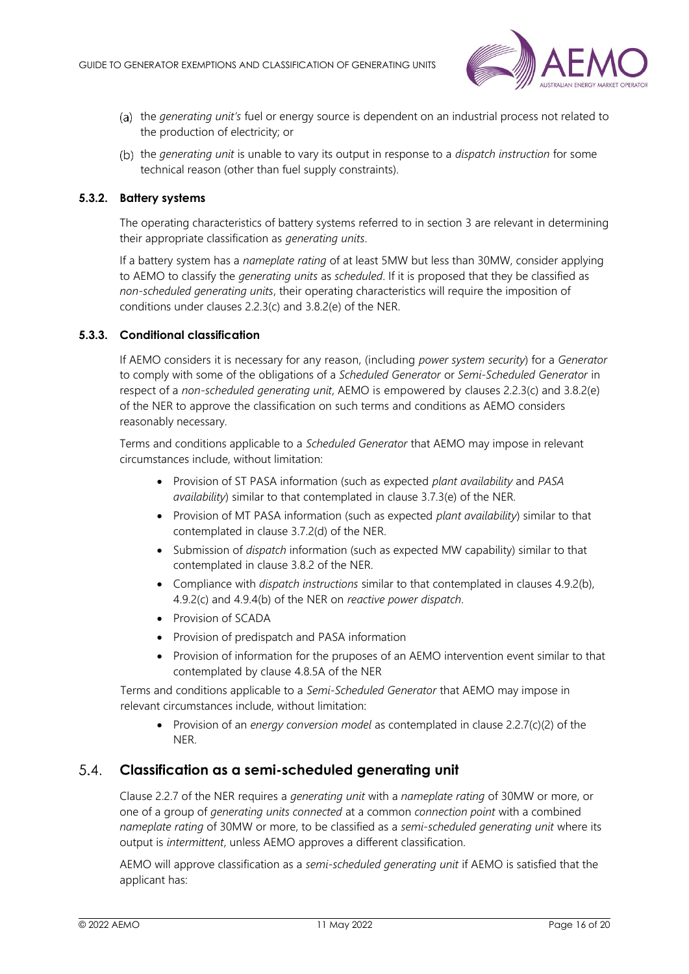

- the *generating unit's* fuel or energy source is dependent on an industrial process not related to the production of electricity; or
- the *generating unit* is unable to vary its output in response to a *dispatch instruction* for some technical reason (other than fuel supply constraints).

### **5.3.2. Battery systems**

The operating characteristics of battery systems referred to in section [3](#page-6-0) are relevant in determining their appropriate classification as *generating units*.

If a battery system has a *nameplate rating* of at least 5MW but less than 30MW, consider applying to AEMO to classify the *generating units* as *scheduled*. If it is proposed that they be classified as *non-scheduled generating units*, their operating characteristics will require the imposition of conditions under clauses 2.2.3(c) and 3.8.2(e) of the NER.

### **5.3.3. Conditional classification**

If AEMO considers it is necessary for any reason, (including *power system security*) for a *Generator*  to comply with some of the obligations of a *Scheduled Generator* or *Semi-Scheduled Generator* in respect of a *non-scheduled generating unit*, AEMO is empowered by clauses 2.2.3(c) and 3.8.2(e) of the NER to approve the classification on such terms and conditions as AEMO considers reasonably necessary.

Terms and conditions applicable to a *Scheduled Generator* that AEMO may impose in relevant circumstances include, without limitation:

- Provision of ST PASA information (such as expected *plant availability* and *PASA availability*) similar to that contemplated in clause 3.7.3(e) of the NER.
- Provision of MT PASA information (such as expected *plant availability*) similar to that contemplated in clause 3.7.2(d) of the NER.
- Submission of *dispatch* information (such as expected MW capability) similar to that contemplated in clause 3.8.2 of the NER.
- Compliance with *dispatch instructions* similar to that contemplated in clauses 4.9.2(b), 4.9.2(c) and 4.9.4(b) of the NER on *reactive power dispatch*.
- Provision of SCADA
- Provision of predispatch and PASA information
- Provision of information for the pruposes of an AEMO intervention event similar to that contemplated by clause 4.8.5A of the NER

Terms and conditions applicable to a *Semi-Scheduled Generator* that AEMO may impose in relevant circumstances include, without limitation:

• Provision of an *energy conversion model* as contemplated in clause 2.2.7(c)(2) of the NER.

#### <span id="page-15-0"></span>**Classification as a semi-scheduled generating unit**  $54$

Clause 2.2.7 of the NER requires a *generating unit* with a *nameplate rating* of 30MW or more, or one of a group of *generating units connected* at a common *connection point* with a combined *nameplate rating* of 30MW or more, to be classified as a *semi*-*scheduled generating unit* where its output is *intermittent*, unless AEMO approves a different classification.

AEMO will approve classification as a *semi*-*scheduled generating unit* if AEMO is satisfied that the applicant has: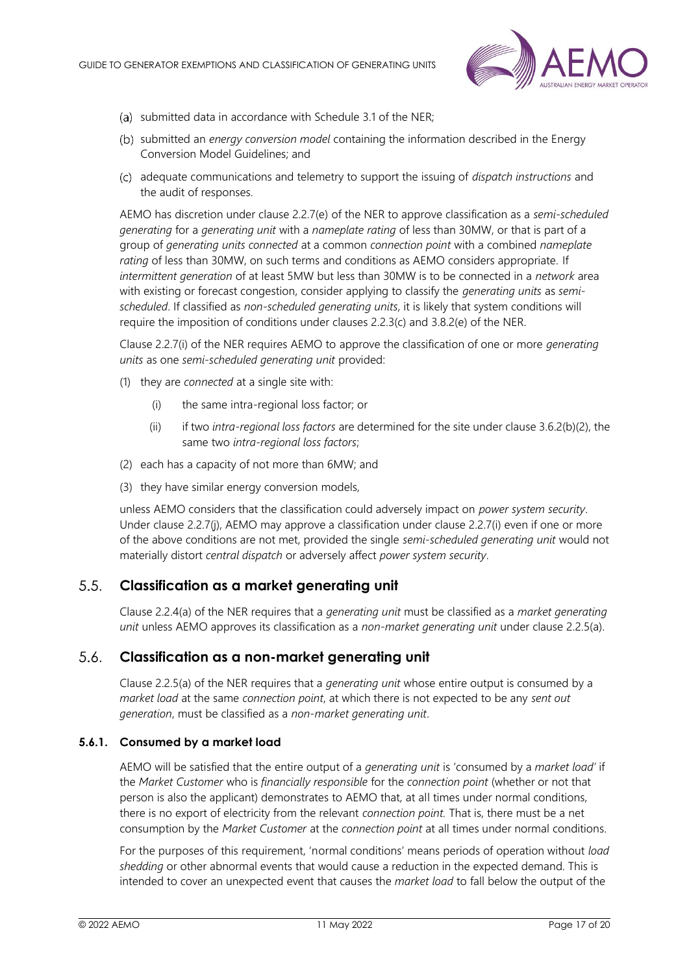

- (a) submitted data in accordance with Schedule 3.1 of the NER;
- submitted an *energy conversion model* containing the information described in the Energy Conversion Model Guidelines; and
- adequate communications and telemetry to support the issuing of *dispatch instructions* and the audit of responses.

AEMO has discretion under clause 2.2.7(e) of the NER to approve classification as a *semi*-*scheduled generating* for a *generating unit* with a *nameplate rating* of less than 30MW, or that is part of a group of *generating units connected* at a common *connection point* with a combined *nameplate rating* of less than 30MW, on such terms and conditions as AEMO considers appropriate. If *intermittent generation* of at least 5MW but less than 30MW is to be connected in a *network* area with existing or forecast congestion, consider applying to classify the *generating units* as *semischeduled*. If classified as *non-scheduled generating units*, it is likely that system conditions will require the imposition of conditions under clauses 2.2.3(c) and 3.8.2(e) of the NER.

Clause 2.2.7(i) of the NER requires AEMO to approve the classification of one or more *generating units* as one *semi-scheduled generating unit* provided:

- (1) they are *connected* at a single site with:
	- (i) the same intra-regional loss factor; or
	- (ii) if two *intra-regional loss factors* are determined for the site under clause 3.6.2(b)(2), the same two *intra-regional loss factors*;
- (2) each has a capacity of not more than 6MW; and
- (3) they have similar energy conversion models,

unless AEMO considers that the classification could adversely impact on *power system security*. Under clause 2.2.7(j), AEMO may approve a classification under clause 2.2.7(i) even if one or more of the above conditions are not met, provided the single *semi-scheduled generating unit* would not materially distort *central dispatch* or adversely affect *power system security*.

#### <span id="page-16-0"></span> $5.5.$ **Classification as a market generating unit**

Clause 2.2.4(a) of the NER requires that a *generating unit* must be classified as a *market generating unit* unless AEMO approves its classification as a *non-market generating unit* under clause 2.2.5(a).

#### <span id="page-16-1"></span> $5.6.$ **Classification as a non-market generating unit**

Clause 2.2.5(a) of the NER requires that a *generating unit* whose entire output is consumed by a *market load* at the same *connection point*, at which there is not expected to be any *sent out generation*, must be classified as a *non*-*market generating unit*.

#### **5.6.1. Consumed by a market load**

AEMO will be satisfied that the entire output of a *generating unit* is 'consumed by a *market load'* if the *Market Customer* who is *financially responsible* for the *connection point* (whether or not that person is also the applicant) demonstrates to AEMO that, at all times under normal conditions, there is no export of electricity from the relevant *connection point.* That is, there must be a net consumption by the *Market Customer* at the *connection point* at all times under normal conditions.

For the purposes of this requirement, 'normal conditions' means periods of operation without *load shedding* or other abnormal events that would cause a reduction in the expected demand. This is intended to cover an unexpected event that causes the *market load* to fall below the output of the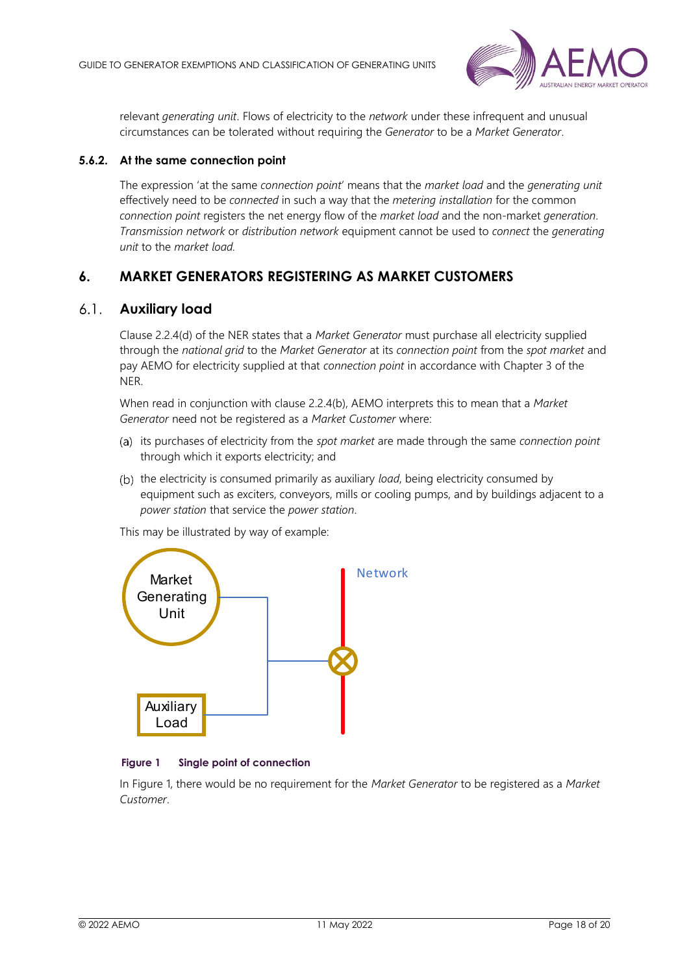

relevant *generating unit*. Flows of electricity to the *network* under these infrequent and unusual circumstances can be tolerated without requiring the *Generator* to be a *Market Generator*.

### **5.6.2. At the same connection point**

The expression 'at the same *connection point*' means that the *market load* and the *generating unit*  effectively need to be *connected* in such a way that the *metering installation* for the common *connection point* registers the net energy flow of the *market load* and the non-market *generation*. *Transmission network* or *distribution network* equipment cannot be used to *connect* the *generating unit* to the *market load.*

# <span id="page-17-0"></span>**6. MARKET GENERATORS REGISTERING AS MARKET CUSTOMERS**

### <span id="page-17-1"></span>**Auxiliary load**

Clause 2.2.4(d) of the NER states that a *Market Generator* must purchase all electricity supplied through the *national grid* to the *Market Generator* at its *connection point* from the *spot market* and pay AEMO for electricity supplied at that *connection point* in accordance with Chapter 3 of the NER.

When read in conjunction with clause 2.2.4(b), AEMO interprets this to mean that a *Market Generator* need not be registered as a *Market Customer* where:

- its purchases of electricity from the *spot market* are made through the same *connection point* through which it exports electricity; and
- (b) the electricity is consumed primarily as auxiliary *load*, being electricity consumed by equipment such as exciters, conveyors, mills or cooling pumps, and by buildings adjacent to a *power station* that service the *power station*.



This may be illustrated by way of example:

#### <span id="page-17-2"></span>**Figure 1 Single point of connection**

In Figure 1, there would be no requirement for the *Market Generator* to be registered as a *Market Customer*.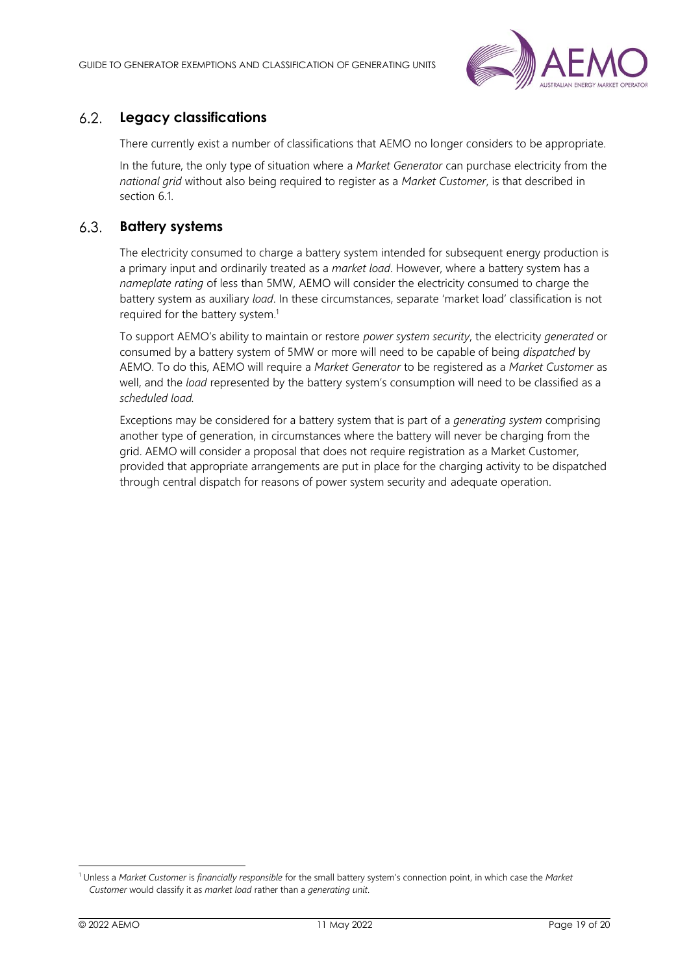

#### <span id="page-18-0"></span> $6.2.$ **Legacy classifications**

There currently exist a number of classifications that AEMO no longer considers to be appropriate.

In the future, the only type of situation where a *Market Generator* can purchase electricity from the *national grid* without also being required to register as a *Market Customer*, is that described in section [6.1.](#page-17-1)

#### <span id="page-18-1"></span> $6.3.$ **Battery systems**

The electricity consumed to charge a battery system intended for subsequent energy production is a primary input and ordinarily treated as a *market load*. However, where a battery system has a *nameplate rating* of less than 5MW, AEMO will consider the electricity consumed to charge the battery system as auxiliary *load*. In these circumstances, separate 'market load' classification is not required for the battery system. 1

To support AEMO's ability to maintain or restore *power system security*, the electricity *generated* or consumed by a battery system of 5MW or more will need to be capable of being *dispatched* by AEMO. To do this, AEMO will require a *Market Generator* to be registered as a *Market Customer* as well, and the *load* represented by the battery system's consumption will need to be classified as a *scheduled load.*

Exceptions may be considered for a battery system that is part of a *generating system* comprising another type of generation, in circumstances where the battery will never be charging from the grid. AEMO will consider a proposal that does not require registration as a Market Customer, provided that appropriate arrangements are put in place for the charging activity to be dispatched through central dispatch for reasons of power system security and adequate operation.

<sup>1</sup> Unless a *Market Customer* is *financially responsible* for the small battery system's connection point, in which case the *Market Customer* would classify it as *market load* rather than a *generating unit*.